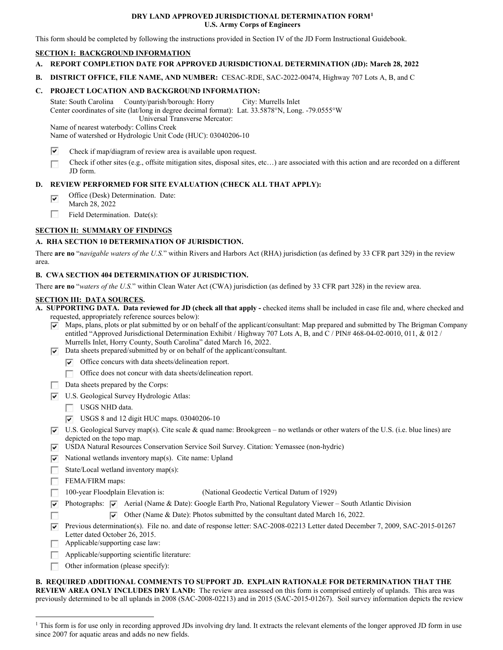#### **DRY LAND APPROVED JURISDICTIONAL DETERMINATION FORM[1](#page-0-0) U.S. Army Corps of Engineers**

This form should be completed by following the instructions provided in Section IV of the JD Form Instructional Guidebook.

### **SECTION I: BACKGROUND INFORMATION**

- **A. REPORT COMPLETION DATE FOR APPROVED JURISDICTIONAL DETERMINATION (JD): March 28, 2022**
- **B. DISTRICT OFFICE, FILE NAME, AND NUMBER:** CESAC-RDE, SAC-2022-00474, Highway 707 Lots A, B, and C

## **C. PROJECT LOCATION AND BACKGROUND INFORMATION:**

 State: South Carolina County/parish/borough: Horry City: Murrells Inlet Center coordinates of site (lat/long in degree decimal format): Lat. 33.5878°N, Long. -79.0555°W Universal Transverse Mercator:

 Name of watershed or Hydrologic Unit Code (HUC): 03040206-10 Name of nearest waterbody: Collins Creek

- $\overline{\mathbf{v}}$ Check if map/diagram of review area is available upon request.
- Check if other sites (e.g., offsite mitigation sites, disposal sites, etc…) are associated with this action and are recorded on a different  $\Box$ JD form.

### **D. REVIEW PERFORMED FOR SITE EVALUATION (CHECK ALL THAT APPLY):**

- $\overline{\mathbf{v}}$ Office (Desk) Determination. Date:
- March 28, 2022
- u. Field Determination. Date(s):

# **SECTION II: SUMMARY OF FINDINGS**

# **A. RHA SECTION 10 DETERMINATION OF JURISDICTION.**

 There **are no** "*navigable waters of the U.S.*" within Rivers and Harbors Act (RHA) jurisdiction (as defined by 33 CFR part 329) in the review area.

### **B. CWA SECTION 404 DETERMINATION OF JURISDICTION.**

There **are no** "*waters of the U.S.*" within Clean Water Act (CWA) jurisdiction (as defined by 33 CFR part 328) in the review area.

#### **SECTION III: DATA SOURCES.**

 requested, appropriately reference sources below): **A. SUPPORTING DATA. Data reviewed for JD (check all that apply -** checked items shall be included in case file and, where checked and

- $\overline{\blacktriangledown}$  Maps, plans, plots or plat submitted by or on behalf of the applicant/consultant: Map prepared and submitted by The Brigman Company entitled "Approved Jurisdictional Determination Exhibit / Highway 707 Lots A, B, and C / PIN# 468-04-02-0010, 011, & 012 / Murrells Inlet, Horry County, South Carolina" dated March 16, 2022.
- $\nabla$  Data sheets prepared/submitted by or on behalf of the applicant/consultant.
	- $\triangledown$  Office concurs with data sheets/delineation report.
	- **u** Office does not concur with data sheets/delineation report.
- Data sheets prepared by the Corps:
- $\nabla$  U.S. Geological Survey Hydrologic Atlas:
	- USGS NHD data.
	- $\triangledown$  USGS 8 and 12 digit HUC maps. 03040206-10
- $\overline{V}$  U.S. Geological Survey map(s). Cite scale & quad name: Brookgreen no wetlands or other waters of the U.S. (i.e. blue lines) are depicted on the topo map.
- $\overline{v}$  USDA Natural Resources Conservation Service Soil Survey. Citation: Yemassee (non-hydric)
- $\nabla$  National wetlands inventory map(s). Cite name: Upland
- State/Local wetland inventory map(s):
- FEMA/FIRM maps:
- $\Box$  100-year Floodplain Elevation is: (National Geodectic Vertical Datum of 1929)
- $\overline{V}$  Photographs:  $\overline{V}$  Aerial (Name & Date): Google Earth Pro, National Regulatory Viewer South Atlantic Division
- $\nabla$  Other (Name & Date): Photos submitted by the consultant dated March 16, 2022.
- **Previous determination(s).** File no. and date of response letter: SAC-2008-02213 Letter dated December 7, 2009, SAC-2015-01267 Letter dated October 26, 2015.
- $\Box$  Applicable/supporting case law:
- **u** Applicable/supporting scientific literature:
- $\Box$  Other information (please specify):

 **REVIEW AREA ONLY INCLUDES DRY LAND:** The review area assessed on this form is comprised entirely of uplands. This area was previously determined to be all uplands in 2008 (SAC-2008-02213) and in 2015 (SAC-2015-01267). Soil survey information depicts the review **B. REQUIRED ADDITIONAL COMMENTS TO SUPPORT JD. EXPLAIN RATIONALE FOR DETERMINATION THAT THE** 

<span id="page-0-0"></span><sup>&</sup>lt;sup>1</sup> This form is for use only in recording approved JDs involving dry land. It extracts the relevant elements of the longer approved JD form in use since 2007 for aquatic areas and adds no new fields.